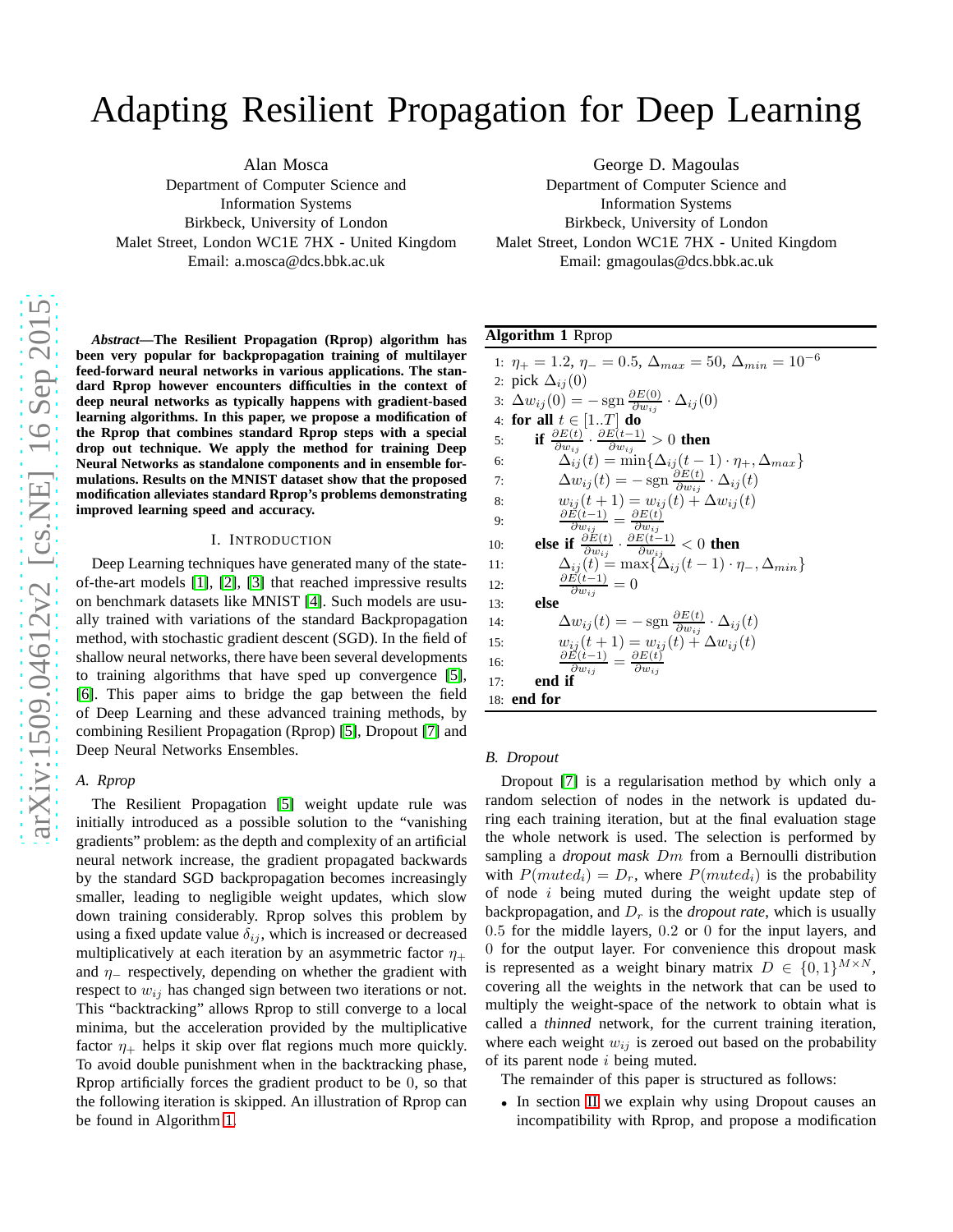# Adapting Resilient Propagation for Deep Learning

Alan Mosca

Department of Computer Science and Information Systems Birkbeck, University of London Malet Street, London WC1E 7HX - United Kingdom Email: a.mosca@dcs.bbk.ac.uk

*Abstract***—The Resilient Propagation (Rprop) algorithm has been very popular for backpropagation training of multilayer feed-forward neural networks in various applications. The standard Rprop however encounters difficulties in the context of deep neural networks as typically happens with gradient-based learning algorithms. In this paper, we propose a modification of the Rprop that combines standard Rprop steps with a special drop out technique. We apply the method for training Deep Neural Networks as standalone components and in ensemble formulations. Results on the MNIST dataset show that the proposed modification alleviates standard Rprop's problems demonstrating improved learning speed and accuracy.**

## I. INTRODUCTION

Deep Learning techniques have generated many of the stateof-the-art models [\[1\]](#page-3-0), [\[2\]](#page-3-1), [\[3\]](#page-3-2) that reached impressive results on benchmark datasets like MNIST [\[4\]](#page-3-3). Such models are usually trained with variations of the standard Backpropagation method, with stochastic gradient descent (SGD). In the field of shallow neural networks, there have been several developments to training algorithms that have sped up convergence [\[5\]](#page-3-4), [\[6\]](#page-3-5). This paper aims to bridge the gap between the field of Deep Learning and these advanced training methods, by combining Resilient Propagation (Rprop) [\[5\]](#page-3-4), Dropout [\[7\]](#page-3-6) and Deep Neural Networks Ensembles.

## *A. Rprop*

The Resilient Propagation [\[5\]](#page-3-4) weight update rule was initially introduced as a possible solution to the "vanishing gradients" problem: as the depth and complexity of an artificial neural network increase, the gradient propagated backwards by the standard SGD backpropagation becomes increasingly smaller, leading to negligible weight updates, which slow down training considerably. Rprop solves this problem by using a fixed update value  $\delta_{ij}$ , which is increased or decreased multiplicatively at each iteration by an asymmetric factor  $\eta_+$ and  $\eta$ <sub>-</sub> respectively, depending on whether the gradient with respect to  $w_{ij}$  has changed sign between two iterations or not. This "backtracking" allows Rprop to still converge to a local minima, but the acceleration provided by the multiplicative factor  $\eta_+$  helps it skip over flat regions much more quickly. To avoid double punishment when in the backtracking phase, Rprop artificially forces the gradient product to be 0, so that the following iteration is skipped. An illustration of Rprop can be found in Algorithm [1.](#page-0-0)

George D. Magoulas Department of Computer Science and Information Systems Birkbeck, University of London Malet Street, London WC1E 7HX - United Kingdom

Email: gmagoulas@dcs.bbk.ac.uk

## <span id="page-0-0"></span>**Algorithm 1** Rprop

|     | 1: $\eta_+ = 1.2$ , $\eta_- = 0.5$ , $\Delta_{max} = 50$ , $\Delta_{min} = 10^{-6}$                                                                                         |
|-----|-----------------------------------------------------------------------------------------------------------------------------------------------------------------------------|
|     | 2: pick $\Delta_{ij}(0)$                                                                                                                                                    |
|     | 3: $\Delta w_{ij}(0) = -\operatorname{sgn} \frac{\partial E(0)}{\partial w_{ij}} \cdot \Delta_{ij}(0)$                                                                      |
|     | 4: for all $t \in [1T]$ do                                                                                                                                                  |
| 5:  | if $\frac{\partial E(t)}{\partial w_{ij}} \cdot \frac{\partial E(t-1)}{\partial w_{ij}} > 0$ then                                                                           |
| 6:  | $\Delta_{ij}(t) = \min\{\Delta_{ij}(t-1)\cdot\eta_+, \Delta_{max}\}\$                                                                                                       |
| 7:  | $\Delta w_{ij}(t) = -\operatorname{sgn} \frac{\partial E(t)}{\partial w_{ij}} \cdot \Delta_{ij}(t)$                                                                         |
| 8:  | $w_{ij}(t+1) = w_{ij}(t) + \Delta w_{ij}(t)$                                                                                                                                |
| 9:  | $\frac{\partial E(t-1)}{\partial w_{ij}} = \frac{\partial E(t)}{\partial w_{ij}}$                                                                                           |
| 10: | <b>else if</b> $\frac{\partial E(t)}{\partial w_{i,i}} \cdot \frac{\partial E(t-1)}{\partial w_{i,i}} < 0$ then                                                             |
| 11: | $\Delta_{ij}(t) = \max\{\Delta_{ij}(t-1)\cdot\eta_{-},\Delta_{min}\}\$                                                                                                      |
| 12: | $\frac{\partial E(t-1)}{\partial w_{ij}}=0$                                                                                                                                 |
| 13: | else                                                                                                                                                                        |
| 14: | $\Delta w_{ij}(t) = -\operatorname{sgn} \frac{\partial E(t)}{\partial m_{ij}} \cdot \Delta_{ij}(t)$                                                                         |
| 15: |                                                                                                                                                                             |
| 16: | $\frac{w_{ij}(t+1)}{\frac{\partial E(t-1)}{\partial w_{ij}}} = \frac{\frac{\partial E(t)}{\partial w_{ij}}(t) + \Delta w_{ij}(t)}{\frac{\partial w_{ij}}{\partial w_{ij}}}$ |
| 17: | end if                                                                                                                                                                      |
|     | 18: end for                                                                                                                                                                 |

#### *B. Dropout*

Dropout [\[7\]](#page-3-6) is a regularisation method by which only a random selection of nodes in the network is updated during each training iteration, but at the final evaluation stage the whole network is used. The selection is performed by sampling a *dropout mask* Dm from a Bernoulli distribution with  $P(muted<sub>i</sub>) = D<sub>r</sub>$ , where  $P(muted<sub>i</sub>)$  is the probability of node i being muted during the weight update step of backpropagation, and  $D<sub>r</sub>$  is the *dropout rate*, which is usually 0.5 for the middle layers, 0.2 or 0 for the input layers, and 0 for the output layer. For convenience this dropout mask is represented as a weight binary matrix  $D \in \{0,1\}^{M \times N}$ , covering all the weights in the network that can be used to multiply the weight-space of the network to obtain what is called a *thinned* network, for the current training iteration, where each weight  $w_{ij}$  is zeroed out based on the probability of its parent node  $i$  being muted.

The remainder of this paper is structured as follows:

• In section [II](#page-1-0) we explain why using Dropout causes an incompatibility with Rprop, and propose a modification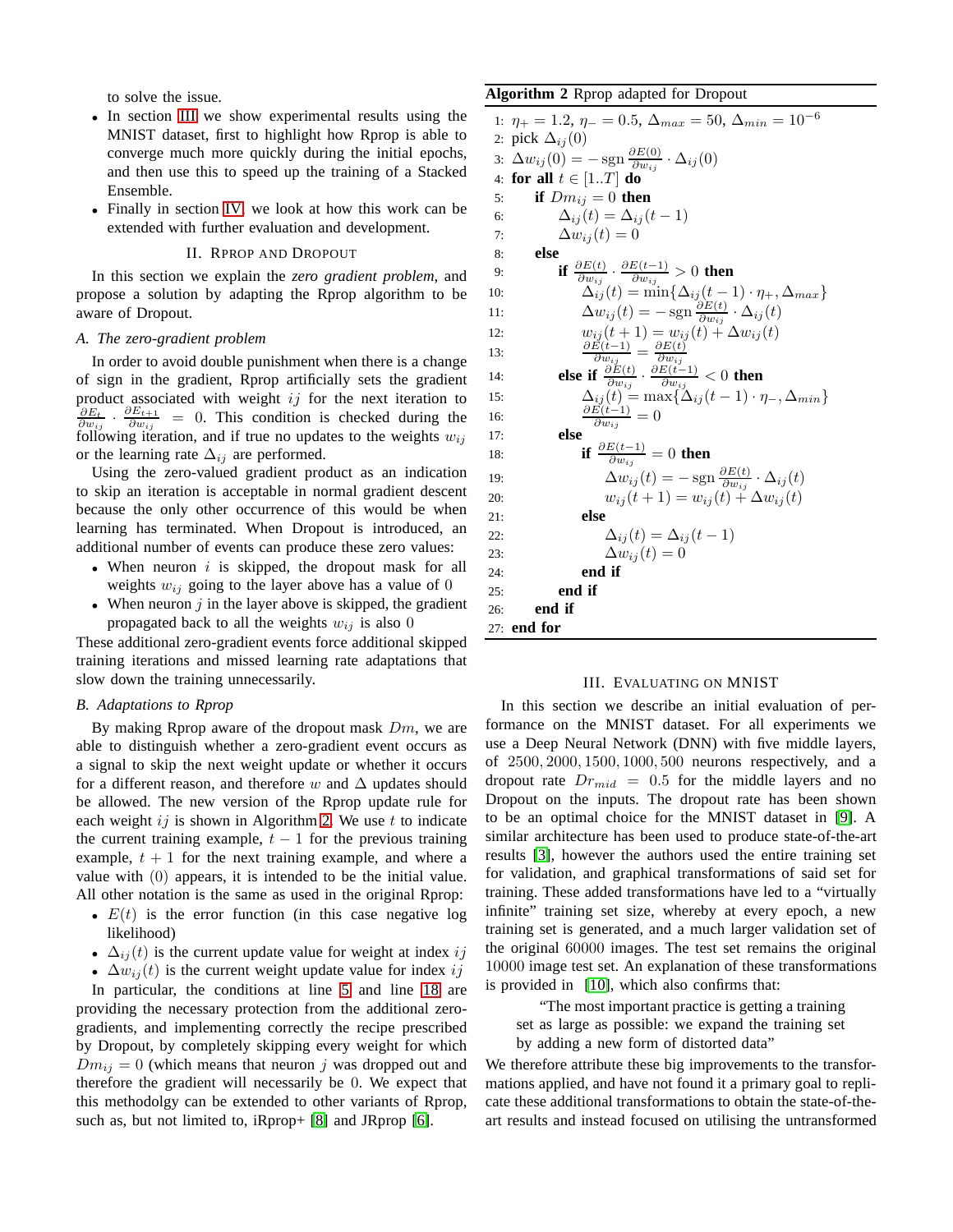to solve the issue.

- In section [III](#page-1-1) we show experimental results using the MNIST dataset, first to highlight how Rprop is able to converge much more quickly during the initial epochs, and then use this to speed up the training of a Stacked Ensemble.
- <span id="page-1-0"></span>• Finally in section [IV,](#page-3-7) we look at how this work can be extended with further evaluation and development.

## II. RPROP AND DROPOUT

In this section we explain the *zero gradient problem*, and propose a solution by adapting the Rprop algorithm to be aware of Dropout.

## *A. The zero-gradient problem*

In order to avoid double punishment when there is a change of sign in the gradient, Rprop artificially sets the gradient product associated with weight  $ij$  for the next iteration to  $\frac{\partial E_t}{\partial w_{ij}}\cdot\frac{\partial E_{t+1}}{\partial w_{ij}}$  $\frac{\partial E_{t+1}}{\partial w_{ij}}$  = 0. This condition is checked during the following iteration, and if true no updates to the weights  $w_{ij}$ or the learning rate  $\Delta_{ij}$  are performed.

Using the zero-valued gradient product as an indication to skip an iteration is acceptable in normal gradient descent because the only other occurrence of this would be when learning has terminated. When Dropout is introduced, an additional number of events can produce these zero values:

- When neuron  $i$  is skipped, the dropout mask for all weights  $w_{ij}$  going to the layer above has a value of 0
- When neuron  $j$  in the layer above is skipped, the gradient propagated back to all the weights  $w_{ij}$  is also 0

These additional zero-gradient events force additional skipped training iterations and missed learning rate adaptations that slow down the training unnecessarily.

### *B. Adaptations to Rprop*

By making Rprop aware of the dropout mask  $Dm$ , we are able to distinguish whether a zero-gradient event occurs as a signal to skip the next weight update or whether it occurs for a different reason, and therefore w and  $\Delta$  updates should be allowed. The new version of the Rprop update rule for each weight  $ij$  is shown in Algorithm [2.](#page-1-2) We use  $t$  to indicate the current training example,  $t - 1$  for the previous training example,  $t + 1$  for the next training example, and where a value with (0) appears, it is intended to be the initial value. All other notation is the same as used in the original Rprop:

- $E(t)$  is the error function (in this case negative log likelihood)
- $\Delta_{ij}(t)$  is the current update value for weight at index ij

•  $\Delta w_{ij}(t)$  is the current weight update value for index ij In particular, the conditions at line [5](#page-1-2) and line [18](#page-1-2) are providing the necessary protection from the additional zerogradients, and implementing correctly the recipe prescribed by Dropout, by completely skipping every weight for which  $Dm_{ij} = 0$  (which means that neuron j was dropped out and therefore the gradient will necessarily be 0. We expect that this methodolgy can be extended to other variants of Rprop, such as, but not limited to, iRprop+ [\[8\]](#page-3-8) and JRprop [\[6\]](#page-3-5).

## <span id="page-1-2"></span>**Algorithm 2** Rprop adapted for Dropout

```
1: \eta_+ = 1.2, \eta_- = 0.5, \Delta_{max} = 50, \Delta_{min} = 10^{-6}2: pick \Delta_{ij}(0)3: \Delta w_{ij}(0) = -\operatorname{sgn} \frac{\partial E(0)}{\partial w_{ij}}\frac{\partial E(0)}{\partial w_{ij}} \cdot \Delta_{ij}(0)4: for all t \in [1..T] do
 5: if Dm_{ij} = 0 then
 6: \Delta_{ij}(t) = \Delta_{ij}(t-1)7: \Delta w_{ij}(t) = 08: else
  9: if \frac{\partial E(t)}{\partial w_{ij}} \cdot \frac{\partial E(t-1)}{\partial w_{ij}}\frac{\partial E(t-1)}{\partial w_{ij}} > 0 then
10: \Delta_{ij}(t) = \min\{\Delta_{ij}(t-1)\cdot \eta_+, \Delta_{max}\}\11: \Delta w_{ij}(t) = -\operatorname{sgn} \frac{\partial E(t)}{\partial w_{ij}}\frac{\partial E(t)}{\partial w_{ij}} \cdot \Delta_{ij}(t)12: w_{ij}(t+1) = w_{ij}(t) + \Delta w_{ij}(t)13: \frac{\partial \vec{E}(\vec{t}-1)}{\partial w_{ij}} = \frac{\partial E(\vec{t})}{\partial w_{ij}}14: else if \frac{\partial w_{ij}}{\partial w_{ij}} \cdot \frac{\partial E(t)}{\partial w_{ij}} \cdot \frac{\partial E(t-1)}{\partial w_{ij}}\frac{w(t-1)}{\partial w_{ij}} < 0 then
15: \Delta_{ij}(t) = \max\{\Delta_{ij}(t-1)\cdot\eta_-, \Delta_{min}\}\16: \frac{\partial \vec{E}(t-1)}{\partial w_{ij}} = 0\overline{\partial w}_{ij}17: else
18: if \frac{\partial E(t-1)}{\partial w_{ij}} = 0 then
19: \Delta w_{ij}(t) = -\operatorname{sgn} \frac{\partial E(t)}{\partial w_{ij}}\frac{\partial E(t)}{\partial w_{ij}} \cdot \Delta_{ij}(t)20: w_{ij}(t+1) = w_{ij}(t) + \Delta w_{ij}(t)21: else
22: \Delta_{ij}(t) = \Delta_{ij}(t-1)23: \Delta w_{ij}(t) = 024: end if
25: end if
26: end if
27: end for
```
## III. EVALUATING ON MNIST

<span id="page-1-1"></span>In this section we describe an initial evaluation of performance on the MNIST dataset. For all experiments we use a Deep Neural Network (DNN) with five middle layers, of 2500, 2000, 1500, 1000, 500 neurons respectively, and a dropout rate  $Dr_{mid} = 0.5$  for the middle layers and no Dropout on the inputs. The dropout rate has been shown to be an optimal choice for the MNIST dataset in [\[9\]](#page-3-9). A similar architecture has been used to produce state-of-the-art results [\[3\]](#page-3-2), however the authors used the entire training set for validation, and graphical transformations of said set for training. These added transformations have led to a "virtually infinite" training set size, whereby at every epoch, a new training set is generated, and a much larger validation set of the original 60000 images. The test set remains the original 10000 image test set. An explanation of these transformations is provided in [\[10\]](#page-3-10), which also confirms that:

"The most important practice is getting a training set as large as possible: we expand the training set by adding a new form of distorted data"

We therefore attribute these big improvements to the transformations applied, and have not found it a primary goal to replicate these additional transformations to obtain the state-of-theart results and instead focused on utilising the untransformed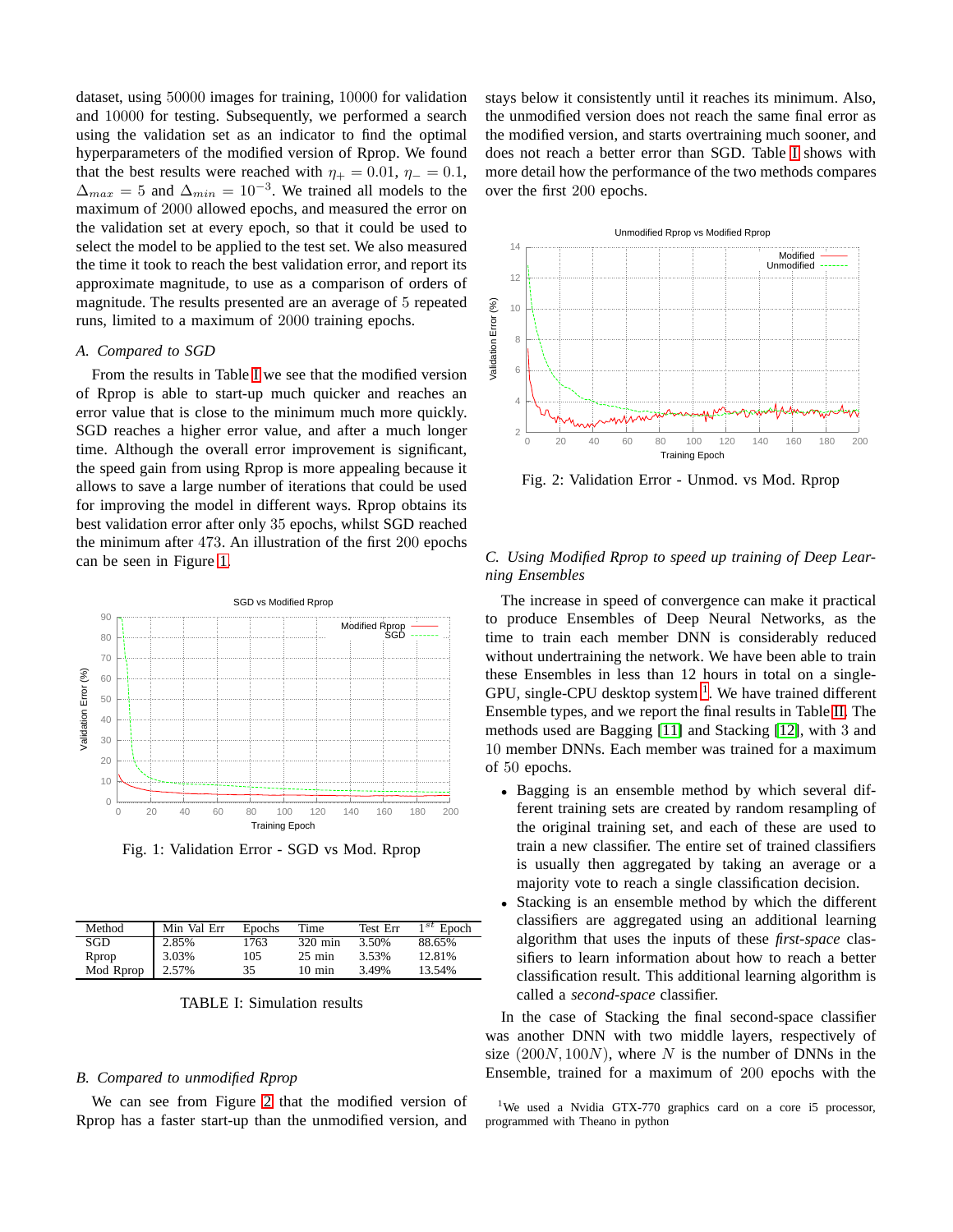dataset, using 50000 images for training, 10000 for validation and 10000 for testing. Subsequently, we performed a search using the validation set as an indicator to find the optimal hyperparameters of the modified version of Rprop. We found that the best results were reached with  $\eta_+ = 0.01$ ,  $\eta_- = 0.1$ ,  $\Delta_{max} = 5$  and  $\Delta_{min} = 10^{-3}$ . We trained all models to the maximum of 2000 allowed epochs, and measured the error on the validation set at every epoch, so that it could be used to select the model to be applied to the test set. We also measured the time it took to reach the best validation error, and report its approximate magnitude, to use as a comparison of orders of magnitude. The results presented are an average of 5 repeated runs, limited to a maximum of 2000 training epochs.

## *A. Compared to SGD*

From the results in Table [I](#page-2-0) we see that the modified version of Rprop is able to start-up much quicker and reaches an error value that is close to the minimum much more quickly. SGD reaches a higher error value, and after a much longer time. Although the overall error improvement is significant, the speed gain from using Rprop is more appealing because it allows to save a large number of iterations that could be used for improving the model in different ways. Rprop obtains its best validation error after only 35 epochs, whilst SGD reached the minimum after 473. An illustration of the first 200 epochs can be seen in Figure [1.](#page-2-1)

<span id="page-2-1"></span>

Fig. 1: Validation Error - SGD vs Mod. Rprop

<span id="page-2-0"></span>

| Method    | Min Val Err | Epochs | Time             | Test Err | $1^{st}$ Epoch |
|-----------|-------------|--------|------------------|----------|----------------|
| SGD       | 2.85%       | 1763   | 320 min          | 3.50%    | 88.65%         |
| Rprop     | 3.03%       | 105    | $25 \text{ min}$ | 3.53%    | 12.81%         |
| Mod Rprop | 2.57%       | 35     | $10 \text{ min}$ | 3.49%    | 13.54%         |

TABLE I: Simulation results

## *B. Compared to unmodified Rprop*

We can see from Figure [2](#page-2-2) that the modified version of Rprop has a faster start-up than the unmodified version, and

stays below it consistently until it reaches its minimum. Also, the unmodified version does not reach the same final error as the modified version, and starts overtraining much sooner, and does not reach a better error than SGD. Table [I](#page-2-0) shows with more detail how the performance of the two methods compares over the first 200 epochs.

<span id="page-2-2"></span>

Fig. 2: Validation Error - Unmod. vs Mod. Rprop

## *C. Using Modified Rprop to speed up training of Deep Learning Ensembles*

The increase in speed of convergence can make it practical to produce Ensembles of Deep Neural Networks, as the time to train each member DNN is considerably reduced without undertraining the network. We have been able to train these Ensembles in less than 12 hours in total on a single-GPU, single-CPU desktop system  $<sup>1</sup>$  $<sup>1</sup>$  $<sup>1</sup>$ . We have trained different</sup> Ensemble types, and we report the final results in Table [II.](#page-3-11) The methods used are Bagging [\[11\]](#page-3-12) and Stacking [\[12\]](#page-3-13), with 3 and 10 member DNNs. Each member was trained for a maximum of 50 epochs.

- Bagging is an ensemble method by which several different training sets are created by random resampling of the original training set, and each of these are used to train a new classifier. The entire set of trained classifiers is usually then aggregated by taking an average or a majority vote to reach a single classification decision.
- Stacking is an ensemble method by which the different classifiers are aggregated using an additional learning algorithm that uses the inputs of these *first-space* classifiers to learn information about how to reach a better classification result. This additional learning algorithm is called a *second-space* classifier.

In the case of Stacking the final second-space classifier was another DNN with two middle layers, respectively of size  $(200N, 100N)$ , where N is the number of DNNs in the Ensemble, trained for a maximum of 200 epochs with the

<span id="page-2-3"></span><sup>1</sup>We used a Nvidia GTX-770 graphics card on a core i5 processor, programmed with Theano in python